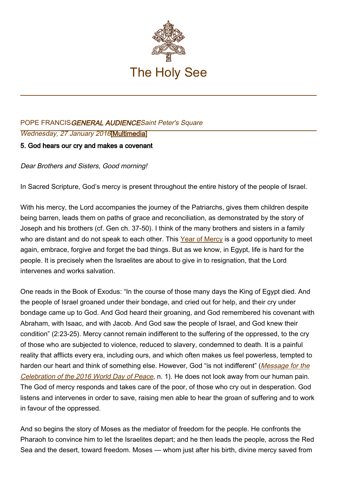

## POPE FRANCISGENERAL AUDIENCESaint Peter's Square Wednesday, 27 January 2016[[Multimedia\]](http://w2.vatican.va/content/francesco/en/events/event.dir.html/content/vaticanevents/en/2016/1/27/udienzagenerale.html)

## 5. God hears our cry and makes a covenant

Dear Brothers and Sisters, Good morning!

In Sacred Scripture, God's mercy is present throughout the entire history of the people of Israel.

With his mercy, the Lord accompanies the journey of the Patriarchs, gives them children despite being barren, leads them on paths of grace and reconciliation, as demonstrated by the story of Joseph and his brothers (cf. Gen ch. 37-50). I think of the many brothers and sisters in a family who are distant and do not speak to each other. This [Year of Mercy](http://www.iubilaeummisericordiae.va/content/gdm/en.html) is a good opportunity to meet again, embrace, forgive and forget the bad things. But as we know, in Egypt, life is hard for the people. It is precisely when the Israelites are about to give in to resignation, that the Lord intervenes and works salvation.

One reads in the Book of Exodus: "In the course of those many days the King of Egypt died. And the people of Israel groaned under their bondage, and cried out for help, and their cry under bondage came up to God. And God heard their groaning, and God remembered his covenant with Abraham, with Isaac, and with Jacob. And God saw the people of Israel, and God knew their condition" (2:23-25). Mercy cannot remain indifferent to the suffering of the oppressed, to the cry of those who are subjected to violence, reduced to slavery, condemned to death. It is a painful reality that afflicts every era, including ours, and which often makes us feel powerless, tempted to harden our heart and think of something else. However, God "is not indifferent" ([Message for the](http://w2.vatican.va/content/francesco/en/messages/peace/documents/papa-francesco_20151208_messaggio-xlix-giornata-mondiale-pace-2016.html) [Celebration of the 2016 World Day of Peace](http://w2.vatican.va/content/francesco/en/messages/peace/documents/papa-francesco_20151208_messaggio-xlix-giornata-mondiale-pace-2016.html), n. 1). He does not look away from our human pain. The God of mercy responds and takes care of the poor, of those who cry out in desperation. God listens and intervenes in order to save, raising men able to hear the groan of suffering and to work in favour of the oppressed.

And so begins the story of Moses as the mediator of freedom for the people. He confronts the Pharaoh to convince him to let the Israelites depart; and he then leads the people, across the Red Sea and the desert, toward freedom. Moses — whom just after his birth, divine mercy saved from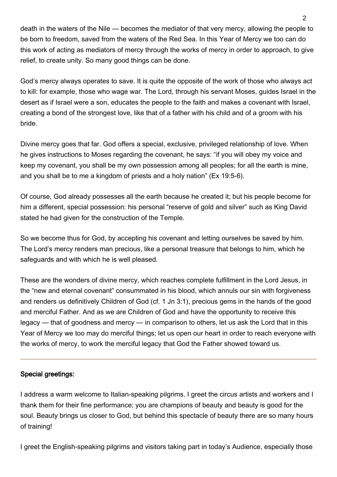death in the waters of the Nile — becomes the mediator of that very mercy, allowing the people to be born to freedom, saved from the waters of the Red Sea. In this Year of Mercy we too can do this work of acting as mediators of mercy through the works of mercy in order to approach, to give relief, to create unity. So many good things can be done.

God's mercy always operates to save. It is quite the opposite of the work of those who always act to kill: for example, those who wage war. The Lord, through his servant Moses, guides Israel in the desert as if Israel were a son, educates the people to the faith and makes a covenant with Israel, creating a bond of the strongest love, like that of a father with his child and of a groom with his bride.

Divine mercy goes that far. God offers a special, exclusive, privileged relationship of love. When he gives instructions to Moses regarding the covenant, he says: "if you will obey my voice and keep my covenant, you shall be my own possession among all peoples; for all the earth is mine, and you shall be to me a kingdom of priests and a holy nation" (Ex 19:5-6).

Of course, God already possesses all the earth because he created it; but his people become for him a different, special possession: his personal "reserve of gold and silver" such as King David stated he had given for the construction of the Temple.

So we become thus for God, by accepting his covenant and letting ourselves be saved by him. The Lord's mercy renders man precious, like a personal treasure that belongs to him, which he safeguards and with which he is well pleased.

These are the wonders of divine mercy, which reaches complete fulfillment in the Lord Jesus, in the "new and eternal covenant" consummated in his blood, which annuls our sin with forgiveness and renders us definitively Children of God (cf. 1 Jn 3:1), precious gems in the hands of the good and merciful Father. And as we are Children of God and have the opportunity to receive this legacy — that of goodness and mercy — in comparison to others, let us ask the Lord that in this Year of Mercy we too may do merciful things; let us open our heart in order to reach everyone with the works of mercy, to work the merciful legacy that God the Father showed toward us.

## Special greetings:

I address a warm welcome to Italian-speaking pilgrims. I greet the circus artists and workers and I thank them for their fine performance; you are champions of beauty and beauty is good for the soul. Beauty brings us closer to God, but behind this spectacle of beauty there are so many hours of training!

I greet the English-speaking pilgrims and visitors taking part in today's Audience, especially those